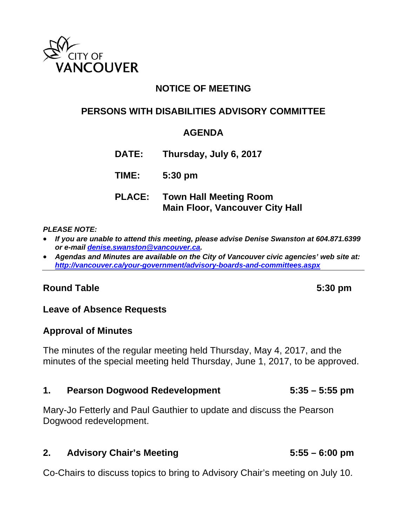

# **NOTICE OF MEETING**

### **PERSONS WITH DISABILITIES ADVISORY COMMITTEE**

### **AGENDA**

**DATE: Thursday, July 6, 2017**

**TIME: 5:30 pm**

**PLACE: Town Hall Meeting Room Main Floor, Vancouver City Hall** 

### *PLEASE NOTE:*

- *If you are unable to attend this meeting, please advise Denise Swanston at 604.871.6399 or e-mail denise.swanston@vancouver.ca.*
- *Agendas and Minutes are available on the City of Vancouver civic agencies' web site at: http://vancouver.ca/your-government/advisory-boards-and-committees.aspx*

### Round Table 5:30 pm

### **Leave of Absence Requests**

### **Approval of Minutes**

The minutes of the regular meeting held Thursday, May 4, 2017, and the minutes of the special meeting held Thursday, June 1, 2017, to be approved.

### **1. Pearson Dogwood Redevelopment 5:35 – 5:55 pm**

Mary-Jo Fetterly and Paul Gauthier to update and discuss the Pearson Dogwood redevelopment.

### **2. Advisory Chair's Meeting 5:55 – 6:00 pm**

Co-Chairs to discuss topics to bring to Advisory Chair's meeting on July 10.